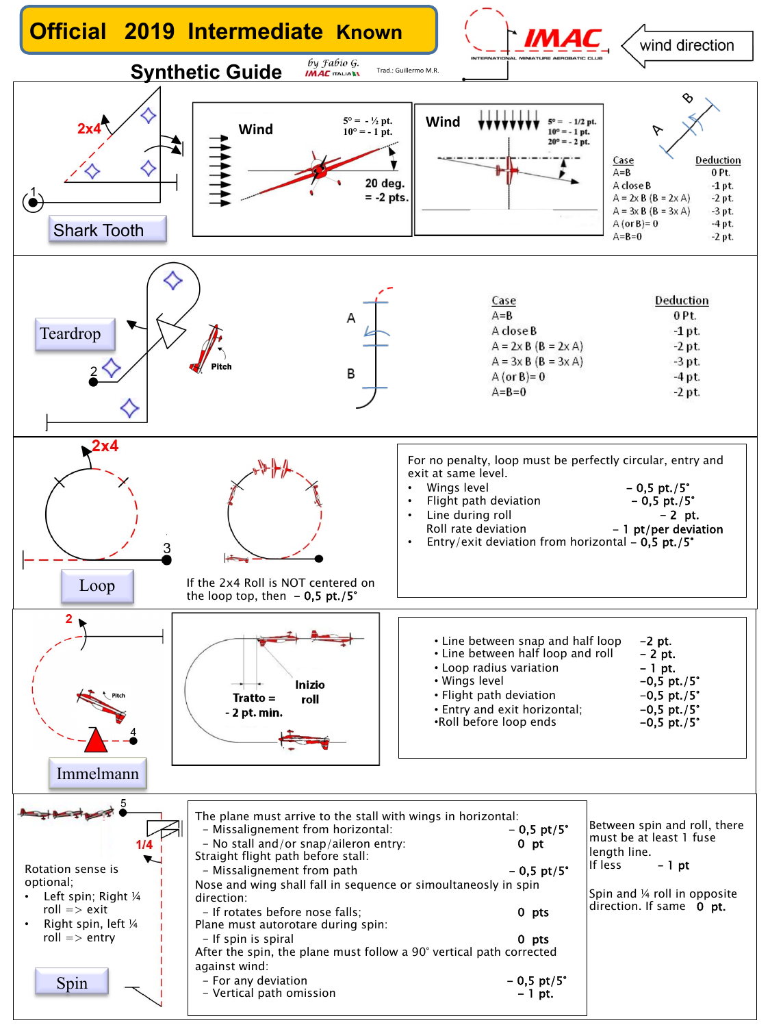